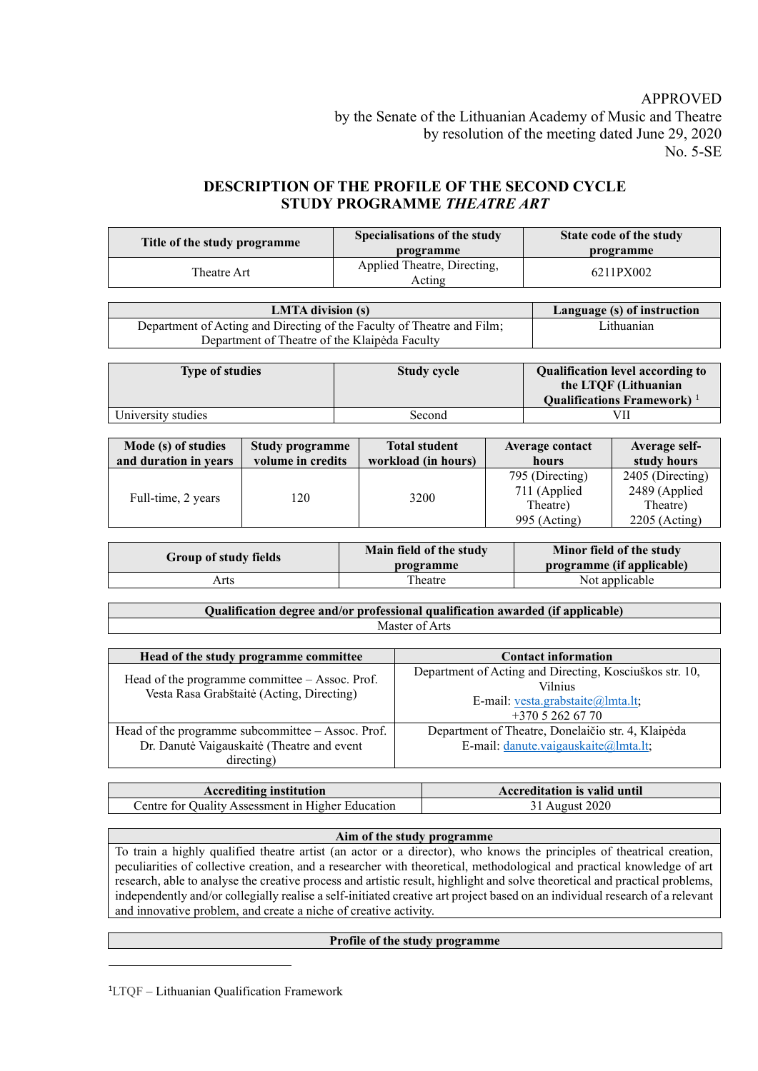# APPROVED by the Senate of the Lithuanian Academy of Music and Theatre by resolution of the meeting dated June 29, 2020 No. 5-SE

# **DESCRIPTION OF THE PROFILE OF THE SECOND CYCLE STUDY PROGRAMME** *THEATRE ART*

| Title of the study programme | Specialisations of the study<br>programme | State code of the study<br>programme |
|------------------------------|-------------------------------------------|--------------------------------------|
| Theatre Art                  | Applied Theatre, Directing,<br>Acting     | 6211PX002                            |

| <b>LMTA</b> division (s)                                               | Language (s) of instruction |
|------------------------------------------------------------------------|-----------------------------|
| Department of Acting and Directing of the Faculty of Theatre and Film; | Lithuanian                  |
| Department of Theatre of the Klaipėda Faculty                          |                             |

| <b>Type of studies</b> | <b>Study cycle</b> | <b>Qualification level according to</b><br>the LTQF (Lithuanian<br>Qualifications Framework) $1$ |
|------------------------|--------------------|--------------------------------------------------------------------------------------------------|
| University studies     | Second             | VII                                                                                              |

| Mode (s) of studies   | Study programme   | <b>Total student</b> | Average contact                 | Average self-                     |
|-----------------------|-------------------|----------------------|---------------------------------|-----------------------------------|
| and duration in years | volume in credits | workload (in hours)  | hours                           | study hours                       |
|                       |                   |                      | 795 (Directing)<br>711 (Applied | 2405 (Directing)<br>2489 (Applied |
| 120                   | 3200              | Theatre)             | Theatre)                        |                                   |
| Full-time, 2 years    |                   | 995 (Acting)         | $2205$ (Acting)                 |                                   |

| Group of study fields | Main field of the study<br>programme | Minor field of the study<br>programme (if applicable) |
|-----------------------|--------------------------------------|-------------------------------------------------------|
| Arts                  | Theatre                              | Not applicable                                        |

| Qualification degree and/or professional qualification awarded (if applicable) |                |  |  |
|--------------------------------------------------------------------------------|----------------|--|--|
|                                                                                | Master of Arts |  |  |

| Head of the study programme committee                                                         | <b>Contact information</b>                                                                                                       |
|-----------------------------------------------------------------------------------------------|----------------------------------------------------------------------------------------------------------------------------------|
| Head of the programme committee $-$ Assoc. Prof.<br>Vesta Rasa Grabštaitė (Acting, Directing) | Department of Acting and Directing, Kosciuškos str. 10,<br><b>Vilnius</b><br>E-mail: vesta.grabstaite@lmta.lt;<br>$+37052626770$ |
| Head of the programme subcommittee $-$ Assoc. Prof.                                           | Department of Theatre, Donelaičio str. 4, Klaipėda                                                                               |
| Dr. Danutė Vaigauskaitė (Theatre and event                                                    | E-mail: danute.vaigauskaite@lmta.lt;                                                                                             |
| directing)                                                                                    |                                                                                                                                  |

| <b>Accrediting institution</b>                    | <b>Accreditation is valid until</b> |
|---------------------------------------------------|-------------------------------------|
| Centre for Quality Assessment in Higher Education | 31 August 2020                      |

#### **Aim of the study programme**

To train a highly qualified theatre artist (an actor or a director), who knows the principles of theatrical creation, peculiarities of collective creation, and a researcher with theoretical, methodological and practical knowledge of art research, able to analyse the creative process and artistic result, highlight and solve theoretical and practical problems, independently and/or collegially realise a self-initiated creative art project based on an individual research of a relevant and innovative problem, and create a niche of creative activity.

## **Profile of the study programme**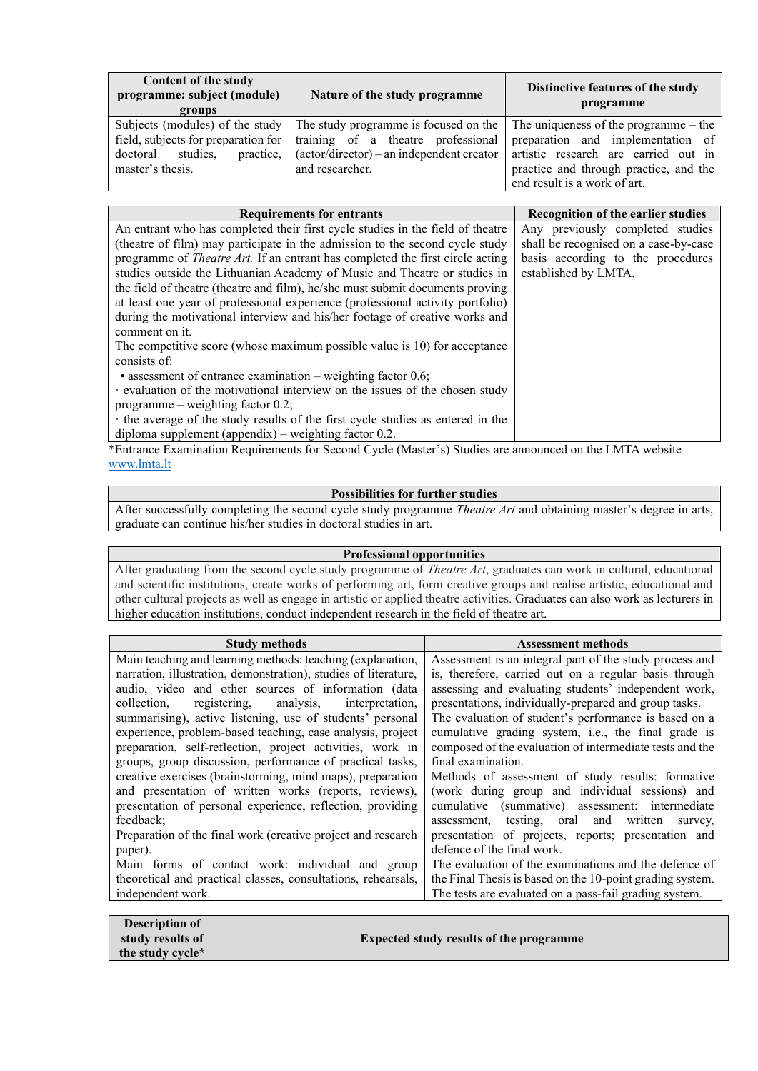| Content of the study<br>programme: subject (module)<br>groups                                                                   | Nature of the study programme                                                                                                                           | Distinctive features of the study<br>programme                                                                                                                                                 |
|---------------------------------------------------------------------------------------------------------------------------------|---------------------------------------------------------------------------------------------------------------------------------------------------------|------------------------------------------------------------------------------------------------------------------------------------------------------------------------------------------------|
| Subjects (modules) of the study<br>field, subjects for preparation for<br>practice,<br>studies.<br>doctoral<br>master's thesis. | The study programme is focused on the<br>training of a theatre professional<br>$(\arctan/\text{directory})$ – an independent creator<br>and researcher. | The uniqueness of the programme $-$ the<br>preparation and implementation of<br>artistic research are carried out in<br>practice and through practice, and the<br>end result is a work of art. |

| <b>Requirements for entrants</b>                                                      | <b>Recognition of the earlier studies</b> |
|---------------------------------------------------------------------------------------|-------------------------------------------|
| An entrant who has completed their first cycle studies in the field of theatre        | Any previously completed studies          |
| (theatre of film) may participate in the admission to the second cycle study          | shall be recognised on a case-by-case     |
| programme of <i>Theatre Art</i> . If an entrant has completed the first circle acting | basis according to the procedures         |
| studies outside the Lithuanian Academy of Music and Theatre or studies in             | established by LMTA.                      |
| the field of theatre (theatre and film), he/she must submit documents proving         |                                           |
| at least one year of professional experience (professional activity portfolio)        |                                           |
| during the motivational interview and his/her footage of creative works and           |                                           |
| comment on it.                                                                        |                                           |
| The competitive score (whose maximum possible value is 10) for acceptance             |                                           |
| consists of:                                                                          |                                           |
| • assessment of entrance examination – weighting factor 0.6;                          |                                           |
| · evaluation of the motivational interview on the issues of the chosen study          |                                           |
| programme – weighting factor $0.2$ ;                                                  |                                           |
| the average of the study results of the first cycle studies as entered in the         |                                           |
| diploma supplement (appendix) – weighting factor $0.2$ .                              |                                           |

\*Entrance Examination Requirements for Second Cycle (Master's) Studies are announced on the LMTA website [www.lmta.lt](http://www.lmta.lt/)

### **Possibilities for further studies**

After successfully completing the second cycle study programme *Theatre Art* and obtaining master's degree in arts, graduate can continue his/her studies in doctoral studies in art.

### **Professional opportunities**

After graduating from the second cycle study programme of *Theatre Art*, graduates can work in cultural, educational and scientific institutions, create works of performing art, form creative groups and realise artistic, educational and other cultural projects as well as engage in artistic or applied theatre activities. Graduates can also work as lecturers in higher education institutions, conduct independent research in the field of theatre art.

| <b>Study methods</b>                                            | <b>Assessment methods</b>                                 |
|-----------------------------------------------------------------|-----------------------------------------------------------|
| Main teaching and learning methods: teaching (explanation,      | Assessment is an integral part of the study process and   |
| narration, illustration, demonstration), studies of literature, | is, therefore, carried out on a regular basis through     |
| audio, video and other sources of information (data             | assessing and evaluating students' independent work,      |
| registering, analysis, interpretation,<br>collection,           | presentations, individually-prepared and group tasks.     |
| summarising), active listening, use of students' personal       | The evaluation of student's performance is based on a     |
| experience, problem-based teaching, case analysis, project      | cumulative grading system, i.e., the final grade is       |
| preparation, self-reflection, project activities, work in       | composed of the evaluation of intermediate tests and the  |
| groups, group discussion, performance of practical tasks,       | final examination.                                        |
| creative exercises (brainstorming, mind maps), preparation      | Methods of assessment of study results: formative         |
| and presentation of written works (reports, reviews),           | (work during group and individual sessions) and           |
| presentation of personal experience, reflection, providing      | cumulative (summative) assessment: intermediate           |
| feedback:                                                       | assessment, testing, oral and written<br>survey,          |
| Preparation of the final work (creative project and research    | presentation of projects, reports; presentation and       |
| paper).                                                         | defence of the final work.                                |
| Main forms of contact work: individual and group                | The evaluation of the examinations and the defence of     |
| theoretical and practical classes, consultations, rehearsals,   | the Final Thesis is based on the 10-point grading system. |
| independent work.                                               | The tests are evaluated on a pass-fail grading system.    |
|                                                                 |                                                           |

| Description of   |                                                |
|------------------|------------------------------------------------|
| study results of | <b>Expected study results of the programme</b> |
| the study cycle* |                                                |